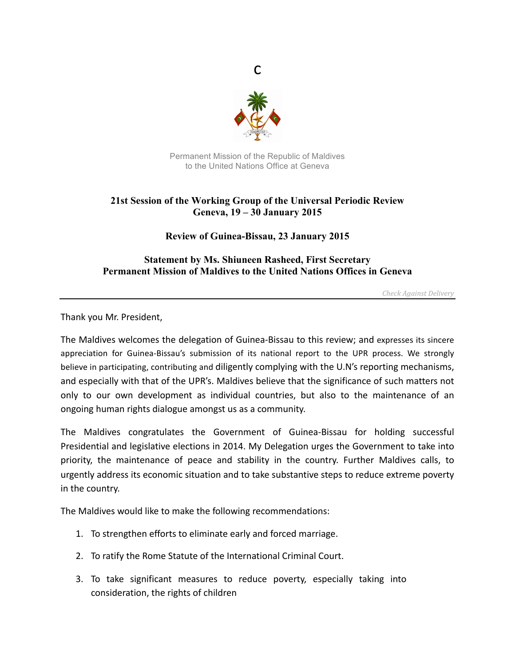

Permanent Mission of the Republic of Maldives to the United Nations Office at Geneva

## **21st Session of the Working Group of the Universal Periodic Review Geneva, 19 – 30 January 2015**

**Review of Guinea-Bissau, 23 January 2015**

## **Statement by Ms. Shiuneen Rasheed, First Secretary Permanent Mission of Maldives to the United Nations Offices in Geneva**

*Check Against Delivery*

Thank you Mr. President,

The Maldives welcomes the delegation of Guinea-Bissau to this review; and expresses its sincere appreciation for Guinea-Bissau's submission of its national report to the UPR process. We strongly believe in participating, contributing and diligently complying with the U.N's reporting mechanisms, and especially with that of the UPR's. Maldives believe that the significance of such matters not only to our own development as individual countries, but also to the maintenance of an ongoing human rights dialogue amongst us as a community.

The Maldives congratulates the Government of Guinea-Bissau for holding successful Presidential and legislative elections in 2014. My Delegation urges the Government to take into priority, the maintenance of peace and stability in the country. Further Maldives calls, to urgently address its economic situation and to take substantive steps to reduce extreme poverty in the country.

The Maldives would like to make the following recommendations:

- 1. To strengthen efforts to eliminate early and forced marriage.
- 2. To ratify the Rome Statute of the International Criminal Court.
- 3. To take significant measures to reduce poverty, especially taking into consideration, the rights of children